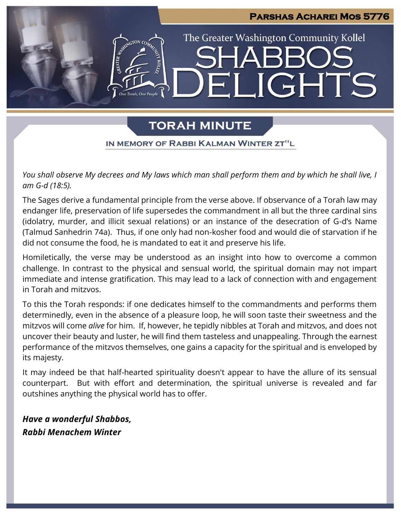# **Parshas Acharei Mos 5776** The Greater Washington Community Kollel LIGHTS  $\Box$

# **TORAH MINUTE**

IN MEMORY OF RABBI KALMAN WINTER ZT"L

*You shall observe My decrees and My laws which man shall perform them and by which he shall live, I am G-d (18:5).*

The Sages derive a fundamental principle from the verse above. If observance of a Torah law may endanger life, preservation of life supersedes the commandment in all but the three cardinal sins (idolatry, murder, and illicit sexual relations) or an instance of the desecration of G-d's Name (Talmud Sanhedrin 74a). Thus, if one only had non-kosher food and would die of starvation if he did not consume the food, he is mandated to eat it and preserve his life.

Homiletically, the verse may be understood as an insight into how to overcome a common challenge. In contrast to the physical and sensual world, the spiritual domain may not impart immediate and intense gratification. This may lead to a lack of connection with and engagement in Torah and mitzvos.

To this the Torah responds: if one dedicates himself to the commandments and performs them determinedly, even in the absence of a pleasure loop, he will soon taste their sweetness and the mitzvos will come *alive* for him. If, however, he tepidly nibbles at Torah and mitzvos, and does not uncover their beauty and luster, he will find them tasteless and unappealing. Through the earnest performance of the mitzvos themselves, one gains a capacity for the spiritual and is enveloped by its majesty.

It may indeed be that half-hearted spirituality doesn't appear to have the allure of its sensual counterpart. But with effort and determination, the spiritual universe is revealed and far outshines anything the physical world has to offer.

*Have a wonderful Shabbos, Rabbi Menachem Winter*